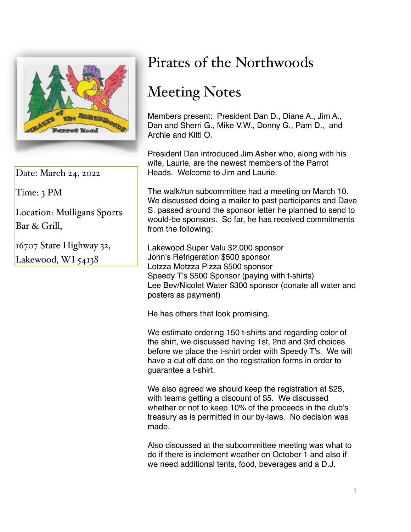

Date: March 24, 2022

Time: 3 PM

Location: Mulligans Sports Bar & Grill,

16707 State Highway 32, Lakewood, WI 54138

## Pirates of the Northwoods

## Meeting Notes

Members present: President Dan D., Diane A., Jim A., Dan and Sherri G., Mike V.W., Donny G., Pam D., and Archie and Kitti O.

President Dan introduced Jim Asher who, along with his wife, Laurie, are the newest members of the Parrot Heads. Welcome to Jim and Laurie.

The walk/run subcommittee had a meeting on March 10. We discussed doing a mailer to past participants and Dave S. passed around the sponsor letter he planned to send to would-be sponsors. So far, he has received commitments from the following:

Lakewood Super Valu \$2,000 sponsor John's Refrigeration \$500 sponsor Lotzza Motzza Pizza \$500 sponsor Speedy T's \$500 Sponsor (paying with t-shirts) Lee Bev/Nicolet Water \$300 sponsor (donate all water and posters as payment)

He has others that look promising.

We estimate ordering 150 t-shirts and regarding color of the shirt, we discussed having 1st, 2nd and 3rd choices before we place the t-shirt order with Speedy T's. We will have a cut off date on the registration forms in order to guarantee a t-shirt.

We also agreed we should keep the registration at \$25, with teams getting a discount of \$5. We discussed whether or not to keep 10% of the proceeds in the club's treasury as is permitted in our by-laws. No decision was made.

Also discussed at the subcommittee meeting was what to do if there is inclement weather on October 1 and also if we need additional tents, food, beverages and a D.J.